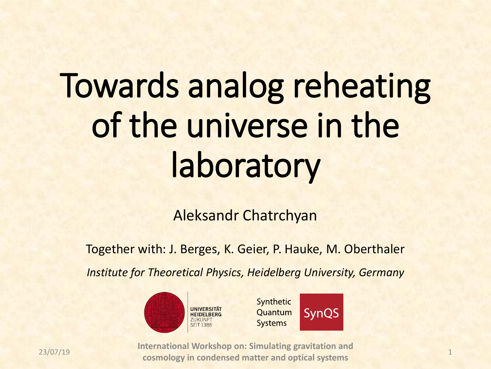# Towards analog reheating of the universe in the laboratory

Aleksandr Chatrchyan

Together with: J. Berges, K. Geier, P. Hauke, M. Oberthaler

*Institute for Theoretical Physics, Heidelberg University, Germany*







23/07/19 **International Workshop on: Simulating gravitation and cosmology in condensed matter and optical systems** 1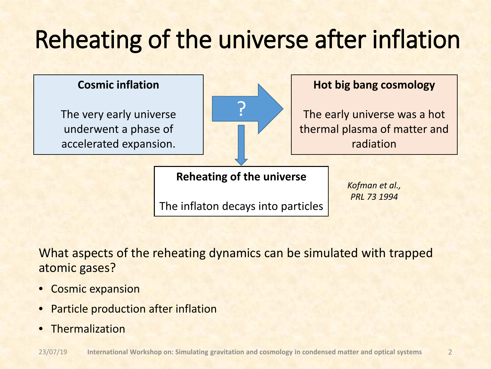#### Reheating of the universe after inflation

#### **Cosmic inflation**

The very early universe underwent a phase of accelerated expansion.



#### **Hot big bang cosmology**

The early universe was a hot thermal plasma of matter and radiation

#### **Reheating of the universe**

The inflaton decays into particles

*Kofman et al., PRL 73 1994*

What aspects of the reheating dynamics can be simulated with trapped atomic gases?

- Cosmic expansion
- Particle production after inflation
- Thermalization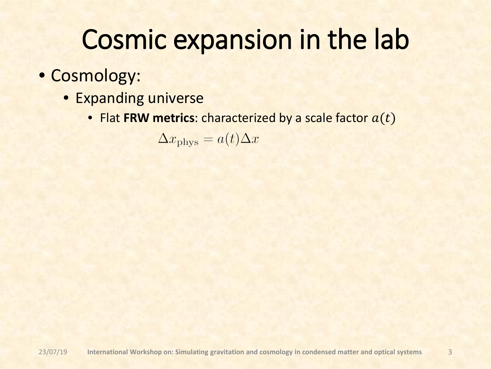- Cosmology:
	- Expanding universe
		- Flat FRW metrics: characterized by a scale factor  $a(t)$

 $\Delta x_{\rm phys} = a(t)\Delta x$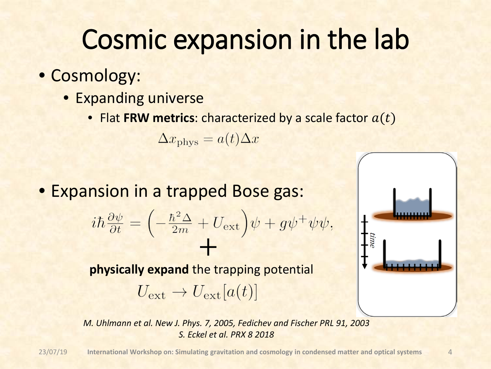- Cosmology:
	- Expanding universe
		- Flat FRW metrics: characterized by a scale factor  $a(t)$

 $\Delta x_{\rm phys} = a(t) \Delta x$ 

• Expansion in a trapped Bose gas:

$$
i\hbar\frac{\partial\psi}{\partial t} = \left(-\frac{\hbar^2\Delta}{2m} + U_{\text{ext}}\right)\psi + g\psi^+\psi\psi
$$

**physically expand** the trapping potential +

 $U_{\text{ext}} \rightarrow U_{\text{ext}}[a(t)]$ 



*M. Uhlmann et al. New J. Phys. 7, 2005, Fedichev and Fischer PRL 91, 2003 S. Eckel et al. PRX 8 2018*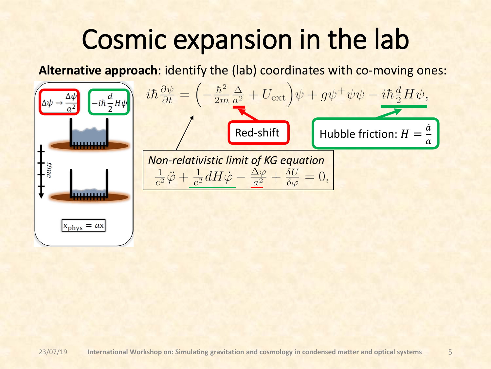**Alternative approach**: identify the (lab) coordinates with co-moving ones:

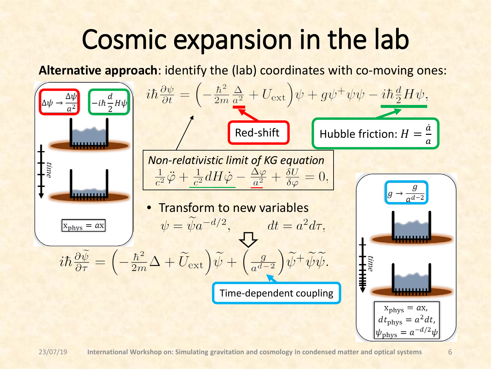**Alternative approach**: identify the (lab) coordinates with co-moving ones:

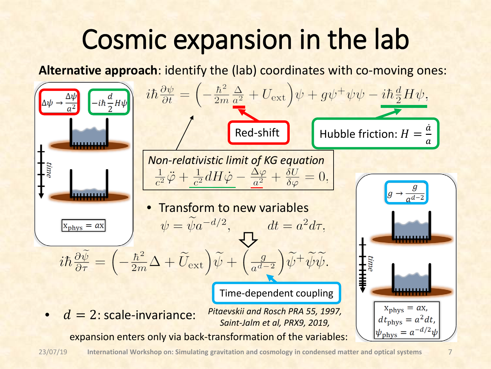**Alternative approach**: identify the (lab) coordinates with co-moving ones:

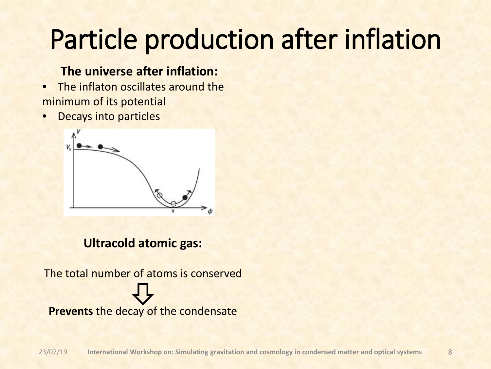#### **The universe after inflation:**

- The inflaton oscillates around the minimum of its potential
- Decays into particles



#### **Ultracold atomic gas:**

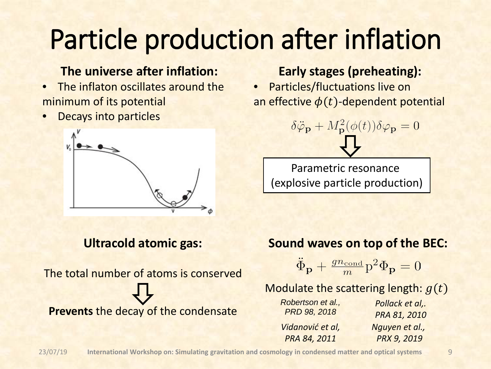#### **The universe after inflation:**

- The inflaton oscillates around the minimum of its potential
- Decays into particles



#### **Ultracold atomic gas:**

The total number of atoms is conserved **Prevents** the decay of the condensate

#### **Early stages (preheating):**

• Particles/fluctuations live on an effective  $\phi(t)$ -dependent potential

$$
\delta \ddot{\varphi}_{\mathbf{p}} + M_{\mathbf{p}}^2 (\phi(t)) \delta \varphi_{\mathbf{p}} = 0
$$

Parametric resonance (explosive particle production)

#### **Sound waves on top of the BEC:**

 $\ddot{\Phi}_{\mathbf{p}} + \frac{gn_{\text{cond}}}{m} p^2 \Phi_{\mathbf{p}} = 0$ 

Modulate the scattering length:  $g(t)$ 

| Robertson et al.,<br>PRD 98, 2018 | Pollack et al,.<br>PRA 81, 2010 |
|-----------------------------------|---------------------------------|
| Vidanović et al,                  | Nguyen et al.,                  |
| PRA 84, 2011                      | <b>PRX 9, 2019</b>              |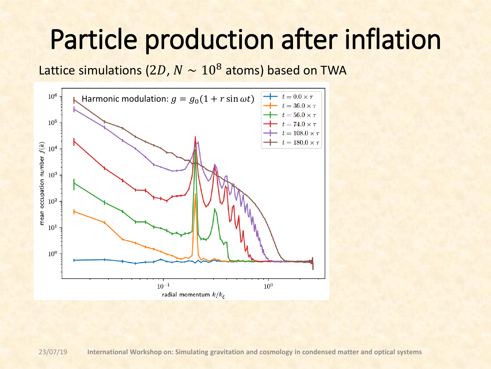Lattice simulations (2D,  $N \sim 10^8$  atoms) based on TWA



23/07/19 **International Workshop on: Simulating gravitation and cosmology in condensed matter and optical systems**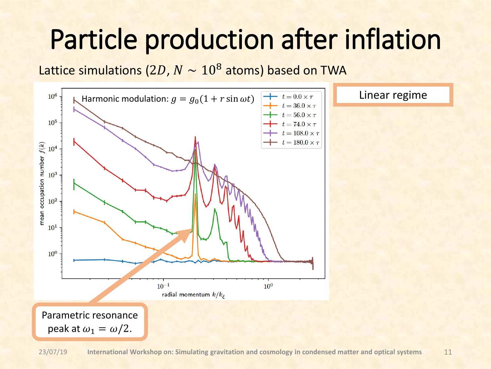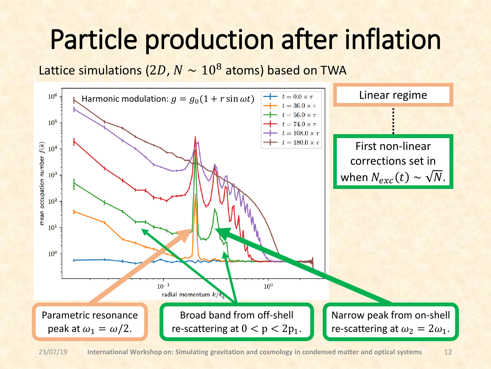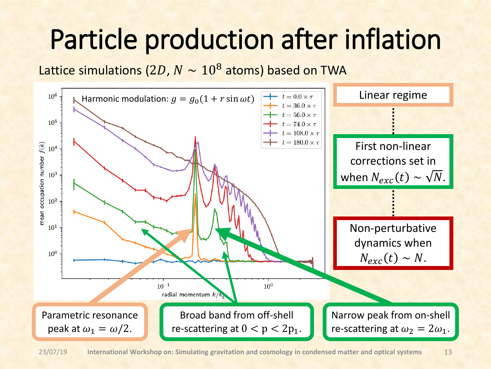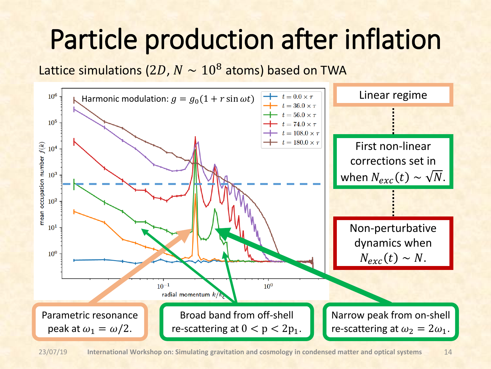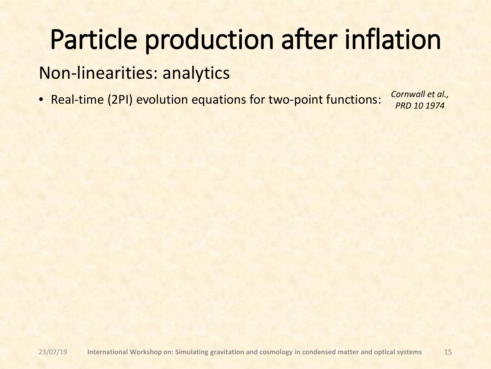#### Non-linearities: analytics

• Real-time (2PI) evolution equations for two-point functions:

*Cornwall et al., PRD 10 1974*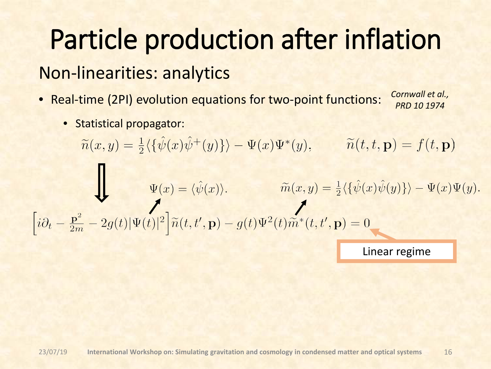#### Non-linearities: analytics

- Real-time (2PI) evolution equations for two-point functions:
- *Cornwall et al., PRD 10 1974*

• Statistical propagator:

 $\widetilde{n}(x,y) = \frac{1}{2} \langle {\hat{\psi}(x) \hat{\psi}^+(y)} \rangle - \Psi(x) \Psi^*(y), \qquad \widetilde{n}(t,t,\mathbf{p}) = f(t,\mathbf{p})$  $\Psi(x)=\langle \hat{\psi}(x)\rangle, \qquad \widetilde{m}(x,y)=\tfrac{1}{2}\langle \{\hat{\psi}(x)\hat{\psi}(y)\}\rangle-\Psi(x)\Psi(y),$   $\left[i\partial_t-\tfrac{{\bf p}^2}{2m}-2g(t)|\Psi(t)|^2\right]\widetilde{n}(t,t',{\bf p})-g(t)\Psi^2(t)\widetilde{m}^*(t,t',{\bf p})=0$ Linear regime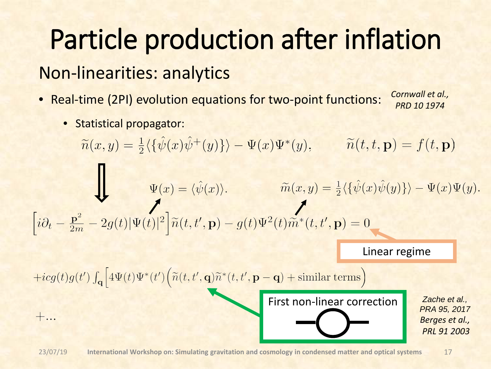#### Non-linearities: analytics

- Real-time (2PI) evolution equations for two-point functions:
- *Cornwall et al., PRD 10 1974*

• Statistical propagator:

$$
\widetilde{n}(x,y) = \frac{1}{2} \langle \{\hat{\psi}(x)\hat{\psi}^+(y)\} \rangle - \Psi(x)\Psi^*(y), \qquad \widetilde{n}(t,t,\mathbf{p}) = f(t,\mathbf{p})
$$
\n
$$
\Psi(x) = \langle \hat{\psi}(x) \rangle, \qquad \widetilde{m}(x,y) = \frac{1}{2} \langle \{\hat{\psi}(x)\hat{\psi}(y)\} \rangle - \Psi(x)\Psi(y).
$$
\n
$$
[i\partial_t - \frac{\mathbf{p}^2}{2m} - 2g(t)|\Psi(t)|^2 \Big] \widetilde{n}(t,t',\mathbf{p}) - g(t)\Psi^2(t)\widetilde{m}^*(t,t',\mathbf{p}) = 0
$$
\nLinear regime\n
$$
+ i c g(t) g(t') \int_{\mathbf{q}} \Big[ 4\Psi(t)\Psi^*(t') \Big( \widetilde{n}(t,t',\mathbf{q})\widetilde{n}^*(t,t',\mathbf{p}-\mathbf{q}) + \text{similar terms} \Big)
$$
\nFirst non-linear correction\n
$$
+ \dots
$$
\nFirst non-linear correction\n
$$
= \begin{cases}\n\frac{Z \text{ache et al.}}{\text{PRA 95, 2017}} \\
\text{PRA 95, 2017} \\
\text{PRA 95, 2017} \\
\text{PRA 91, 2003}\n\end{cases}
$$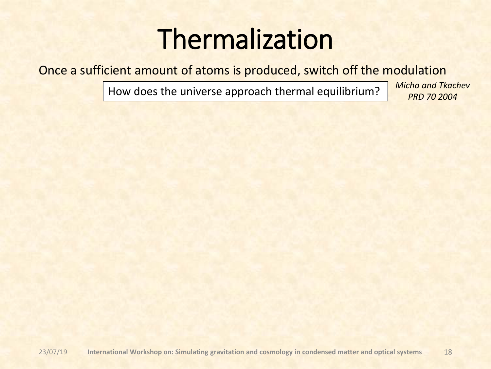### Thermalization

Once a sufficient amount of atoms is produced, switch off the modulation

How does the universe approach thermal equilibrium? *Micha and Tkachev*

*PRD 70 2004*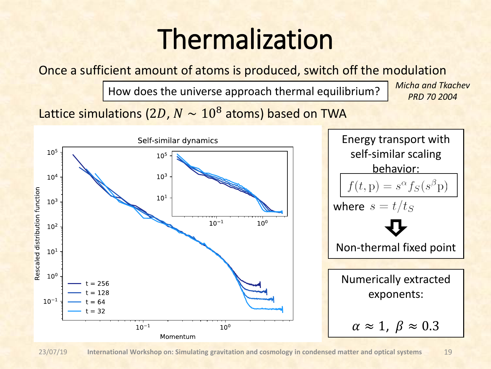### Thermalization

Once a sufficient amount of atoms is produced, switch off the modulation

How does the universe approach thermal equilibrium? *Micha and Tkachev*

*PRD 70 2004*

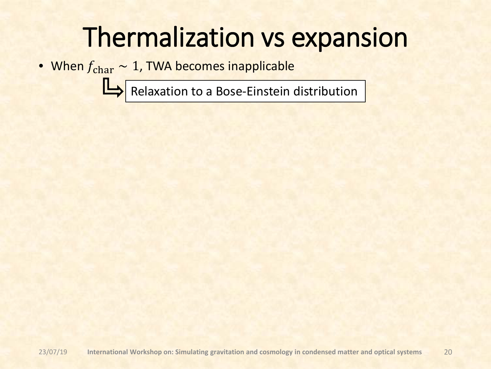### Thermalization vs expansion

• When  $f_{\text{char}} \sim 1$ , TWA becomes inapplicable

Relaxation to a Bose-Einstein distribution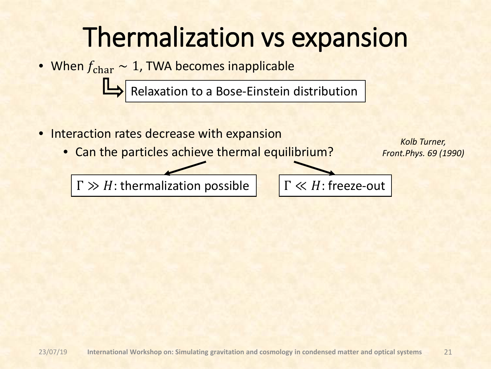### Thermalization vs expansion

• When  $f_{\text{char}} \sim 1$ , TWA becomes inapplicable

Relaxation to a Bose-Einstein distribution

- Interaction rates decrease with expansion
	- Can the particles achieve thermal equilibrium?

 $\Gamma \gg H$ : thermalization possible  $\Gamma \ll H$ : freeze-out

*Kolb Turner, Front.Phys. 69 (1990)*

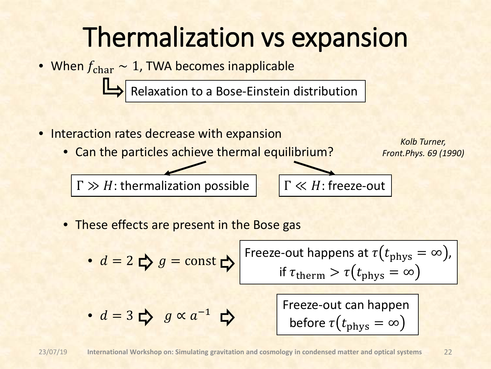#### Thermalization vs expansion

• When  $f_{\text{char}} \sim 1$ , TWA becomes inapplicable • Interaction rates decrease with expansion • Can the particles achieve thermal equilibrium? • These effects are present in the Bose gas Relaxation to a Bose-Einstein distribution  $\Gamma \gg H$ : thermalization possible  $\Gamma \ll H$ : freeze-out Freeze-out happens at  $\tau(t_{\text{phys}} = \infty)$ , *Kolb Turner, Front.Phys. 69 (1990)*

• = 2 = const • = 3 ∝ −1 if therm > phys = ∞ Freeze-out can happen before phys = ∞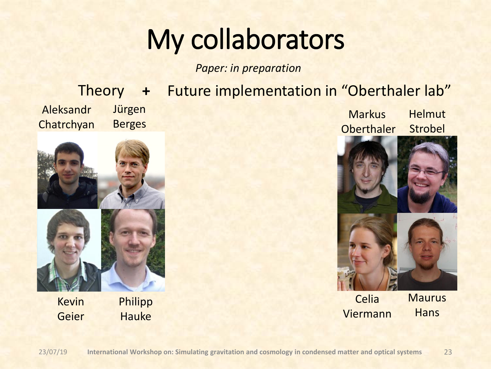## My collaborators

*Paper: in preparation*

#### Future implementation in "Oberthaler lab" **Helmut** Strobel **Markus Oberthaler** Jürgen Berges Aleksandr **Chatrchyan Theory**



Kevin Geier Philipp **Hauke** 



Celia Viermann **Maurus Hans**